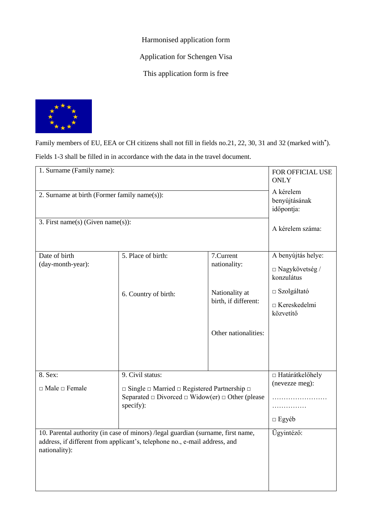Harmonised application form

Application for Schengen Visa

This application form is free



Family members of EU, EEA or CH citizens shall not fill in fields no.21, 22, 30, 31 and 32 (marked with**\*** ). Fields 1-3 shall be filled in in accordance with the data in the travel document.

| 1. Surname (Family name):                    | FOR OFFICIAL USE<br><b>ONLY</b>                                                                                                                                |                                        |                                                           |
|----------------------------------------------|----------------------------------------------------------------------------------------------------------------------------------------------------------------|----------------------------------------|-----------------------------------------------------------|
| 2. Surname at birth (Former family name(s)): | A kérelem<br>benyújtásának<br>időpontja:                                                                                                                       |                                        |                                                           |
| 3. First name(s) (Given name(s)):            |                                                                                                                                                                |                                        | A kérelem száma:                                          |
| Date of birth<br>(day-month-year):           | 5. Place of birth:                                                                                                                                             | 7.Current<br>nationality:              | A benyújtás helye:<br>$\Box$ Nagykövetség /<br>konzulátus |
|                                              | 6. Country of birth:                                                                                                                                           | Nationality at<br>birth, if different: | $\Box$ Szolgáltató<br>$\Box$ Kereskedelmi<br>közvetítő    |
|                                              |                                                                                                                                                                | Other nationalities:                   |                                                           |
| 8. Sex:                                      | 9. Civil status:                                                                                                                                               |                                        | $\Box$ Határátkelőhely                                    |
| $\Box$ Male $\Box$ Female                    | $\Box$ Single $\Box$ Married $\Box$ Registered Partnership $\Box$<br>Separated $\Box$ Divorced $\Box$ Widow(er) $\Box$ Other (please<br>specify):              |                                        | (nevezze meg):<br>.<br>$\Box$ Egyéb                       |
| nationality):                                | 10. Parental authority (in case of minors) /legal guardian (surname, first name,<br>address, if different from applicant's, telephone no., e-mail address, and |                                        | Ügyintéző:                                                |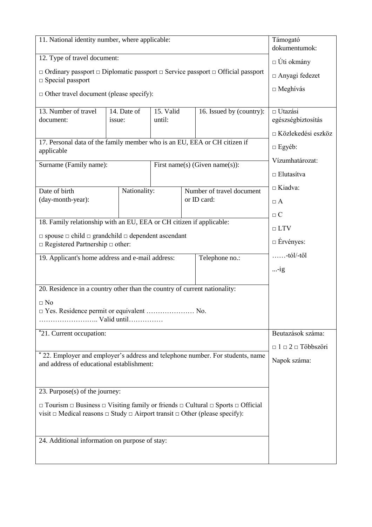| 11. National identity number, where applicable:                                                                                                                                                                   |                       |                     | Támogató<br>dokumentumok:          |                           |                                      |
|-------------------------------------------------------------------------------------------------------------------------------------------------------------------------------------------------------------------|-----------------------|---------------------|------------------------------------|---------------------------|--------------------------------------|
| 12. Type of travel document:                                                                                                                                                                                      |                       |                     | $\Box$ Úti okmány                  |                           |                                      |
| $\Box$ Ordinary passport $\Box$ Diplomatic passport $\Box$ Service passport $\Box$ Official passport                                                                                                              |                       |                     |                                    |                           | □ Anyagi fedezet                     |
| $\square$ Special passport<br>$\Box$ Other travel document (please specify):                                                                                                                                      |                       |                     |                                    |                           | $\Box$ Meghívás                      |
|                                                                                                                                                                                                                   |                       |                     |                                    |                           |                                      |
| 13. Number of travel<br>document:                                                                                                                                                                                 | 14. Date of<br>issue: | 15. Valid<br>until: |                                    | 16. Issued by (country):  | $\Box$ Utazási<br>egészségbiztosítás |
|                                                                                                                                                                                                                   |                       |                     |                                    |                           | □ Közlekedési eszköz                 |
| 17. Personal data of the family member who is an EU, EEA or CH citizen if<br>applicable                                                                                                                           |                       |                     |                                    | $\Box$ Egyéb:             |                                      |
| Surname (Family name):<br>First name(s) (Given name(s)):                                                                                                                                                          |                       |                     | Vízumhatározat:                    |                           |                                      |
|                                                                                                                                                                                                                   |                       |                     |                                    |                           | $\Box$ Elutasítva                    |
| Date of birth                                                                                                                                                                                                     | Nationality:          |                     |                                    | Number of travel document | $\Box$ Kiadva:                       |
| (day-month-year):                                                                                                                                                                                                 |                       |                     |                                    | or ID card:               | $\Box A$                             |
|                                                                                                                                                                                                                   |                       |                     |                                    |                           | $\Box$ C                             |
| 18. Family relationship with an EU, EEA or CH citizen if applicable:                                                                                                                                              |                       |                     | $\Box$ LTV                         |                           |                                      |
| $\Box$ spouse $\Box$ child $\Box$ grandchild $\Box$ dependent ascendant<br>$\Box$ Registered Partnership $\Box$ other:                                                                                            |                       |                     | $\Box$ Ervényes:                   |                           |                                      |
| 19. Applicant's home address and e-mail address:                                                                                                                                                                  |                       |                     |                                    | Telephone no.:            | $\ldots$ -tól/-től                   |
|                                                                                                                                                                                                                   |                       |                     |                                    |                           | $\ldots$ -ig                         |
| 20. Residence in a country other than the country of current nationality:                                                                                                                                         |                       |                     |                                    |                           |                                      |
| $\Box$ No                                                                                                                                                                                                         |                       |                     |                                    |                           |                                      |
| $\Box$ Yes. Residence permit or equivalent  No.<br>Valid until                                                                                                                                                    |                       |                     |                                    |                           |                                      |
|                                                                                                                                                                                                                   |                       |                     |                                    |                           | Beutazások száma:                    |
| *21. Current occupation:                                                                                                                                                                                          |                       |                     |                                    |                           |                                      |
| * 22. Employer and employer's address and telephone number. For students, name                                                                                                                                    |                       |                     | $\Box$ 1 $\Box$ 2 $\Box$ Többszöri |                           |                                      |
| and address of educational establishment:                                                                                                                                                                         |                       |                     | Napok száma:                       |                           |                                      |
|                                                                                                                                                                                                                   |                       |                     |                                    |                           |                                      |
| 23. Purpose(s) of the journey:                                                                                                                                                                                    |                       |                     |                                    |                           |                                      |
| $\Box$ Tourism $\Box$ Business $\Box$ Visiting family or friends $\Box$ Cultural $\Box$ Sports $\Box$ Official<br>visit $\Box$ Medical reasons $\Box$ Study $\Box$ Airport transit $\Box$ Other (please specify): |                       |                     |                                    |                           |                                      |
|                                                                                                                                                                                                                   |                       |                     |                                    |                           |                                      |
| 24. Additional information on purpose of stay:                                                                                                                                                                    |                       |                     |                                    |                           |                                      |
|                                                                                                                                                                                                                   |                       |                     |                                    |                           |                                      |
|                                                                                                                                                                                                                   |                       |                     |                                    |                           |                                      |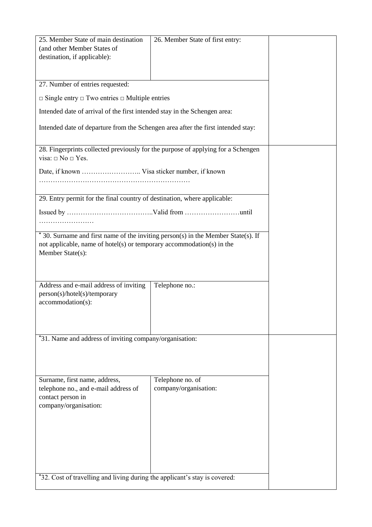| 25. Member State of main destination                                              | 26. Member State of first entry: |  |
|-----------------------------------------------------------------------------------|----------------------------------|--|
|                                                                                   |                                  |  |
| (and other Member States of                                                       |                                  |  |
| destination, if applicable):                                                      |                                  |  |
|                                                                                   |                                  |  |
|                                                                                   |                                  |  |
|                                                                                   |                                  |  |
| 27. Number of entries requested:                                                  |                                  |  |
| $\Box$ Single entry $\Box$ Two entries $\Box$ Multiple entries                    |                                  |  |
|                                                                                   |                                  |  |
| Intended date of arrival of the first intended stay in the Schengen area:         |                                  |  |
|                                                                                   |                                  |  |
| Intended date of departure from the Schengen area after the first intended stay:  |                                  |  |
|                                                                                   |                                  |  |
|                                                                                   |                                  |  |
| 28. Fingerprints collected previously for the purpose of applying for a Schengen  |                                  |  |
| visa: $\square$ No $\square$ Yes.                                                 |                                  |  |
|                                                                                   |                                  |  |
| Date, if known  Visa sticker number, if known                                     |                                  |  |
|                                                                                   |                                  |  |
|                                                                                   |                                  |  |
|                                                                                   |                                  |  |
| 29. Entry permit for the final country of destination, where applicable:          |                                  |  |
|                                                                                   |                                  |  |
|                                                                                   |                                  |  |
| .                                                                                 |                                  |  |
|                                                                                   |                                  |  |
| * 30. Surname and first name of the inviting person(s) in the Member State(s). If |                                  |  |
| not applicable, name of hotel(s) or temporary accommodation(s) in the             |                                  |  |
| Member State(s):                                                                  |                                  |  |
|                                                                                   |                                  |  |
|                                                                                   |                                  |  |
|                                                                                   |                                  |  |
|                                                                                   |                                  |  |
| Address and e-mail address of inviting                                            | Telephone no.:                   |  |
| person(s)/hotel(s)/temporary                                                      |                                  |  |
| $accommodation(s)$ :                                                              |                                  |  |
|                                                                                   |                                  |  |
|                                                                                   |                                  |  |
|                                                                                   |                                  |  |
|                                                                                   |                                  |  |
| *31. Name and address of inviting company/organisation:                           |                                  |  |
|                                                                                   |                                  |  |
|                                                                                   |                                  |  |
|                                                                                   |                                  |  |
|                                                                                   |                                  |  |
| Surname, first name, address,                                                     | Telephone no. of                 |  |
|                                                                                   |                                  |  |
| telephone no., and e-mail address of                                              | company/organisation:            |  |
| contact person in                                                                 |                                  |  |
| company/organisation:                                                             |                                  |  |
|                                                                                   |                                  |  |
|                                                                                   |                                  |  |
|                                                                                   |                                  |  |
|                                                                                   |                                  |  |
|                                                                                   |                                  |  |
|                                                                                   |                                  |  |
|                                                                                   |                                  |  |
|                                                                                   |                                  |  |
|                                                                                   |                                  |  |
| *32. Cost of travelling and living during the applicant's stay is covered:        |                                  |  |
|                                                                                   |                                  |  |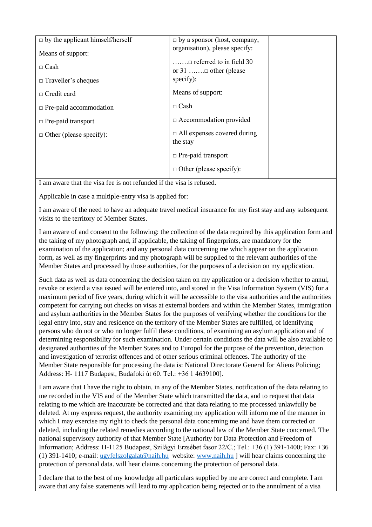| $\Box$ by the applicant himself/herself | $\Box$ by a sponsor (host, company,            |  |
|-----------------------------------------|------------------------------------------------|--|
| Means of support:                       | organisation), please specify:                 |  |
| $\Box$ Cash                             | $\dots \dots \square$ referred to in field 30  |  |
| $\Box$ Traveller's cheques              | specify):                                      |  |
| $\Box$ Credit card                      | Means of support:                              |  |
| $\Box$ Pre-paid accommodation           | $\Box$ Cash                                    |  |
| $\Box$ Pre-paid transport               | $\Box$ Accommodation provided                  |  |
| $\Box$ Other (please specify):          | $\Box$ All expenses covered during<br>the stay |  |
|                                         | $\Box$ Pre-paid transport                      |  |
|                                         | $\Box$ Other (please specify):                 |  |
|                                         |                                                |  |

I am aware that the visa fee is not refunded if the visa is refused.

Applicable in case a multiple-entry visa is applied for:

I am aware of the need to have an adequate travel medical insurance for my first stay and any subsequent visits to the territory of Member States.

I am aware of and consent to the following: the collection of the data required by this application form and the taking of my photograph and, if applicable, the taking of fingerprints, are mandatory for the examination of the application; and any personal data concerning me which appear on the application form, as well as my fingerprints and my photograph will be supplied to the relevant authorities of the Member States and processed by those authorities, for the purposes of a decision on my application.

Such data as well as data concerning the decision taken on my application or a decision whether to annul, revoke or extend a visa issued will be entered into, and stored in the Visa Information System (VIS) for a maximum period of five years, during which it will be accessible to the visa authorities and the authorities competent for carrying out checks on visas at external borders and within the Member States, immigration and asylum authorities in the Member States for the purposes of verifying whether the conditions for the legal entry into, stay and residence on the territory of the Member States are fulfilled, of identifying persons who do not or who no longer fulfil these conditions, of examining an asylum application and of determining responsibility for such examination. Under certain conditions the data will be also available to designated authorities of the Member States and to Europol for the purpose of the prevention, detection and investigation of terrorist offences and of other serious criminal offences. The authority of the Member State responsible for processing the data is: National Directorate General for Aliens Policing; Address: H- 1117 Budapest, Budafoki út 60. Tel.: +36 1 4639100].

I am aware that I have the right to obtain, in any of the Member States, notification of the data relating to me recorded in the VIS and of the Member State which transmitted the data, and to request that data relating to me which are inaccurate be corrected and that data relating to me processed unlawfully be deleted. At my express request, the authority examining my application will inform me of the manner in which I may exercise my right to check the personal data concerning me and have them corrected or deleted, including the related remedies according to the national law of the Member State concerned. The national supervisory authority of that Member State [Authority for Data Protection and Freedom of Information; Address: H-1125 Budapest, Szilágyi Erzsébet fasor 22/C.; Tel.: +36 (1) 391-1400; Fax: +36 (1) 391-1410; e-mail: [ugyfelszolgalat@naih.hu](mailto:ugyfelszolgalat@naih.hu) website[: www.naih.hu](http://www.naih.hu/) ] will hear claims concerning the protection of personal data. will hear claims concerning the protection of personal data.

I declare that to the best of my knowledge all particulars supplied by me are correct and complete. I am aware that any false statements will lead to my application being rejected or to the annulment of a visa